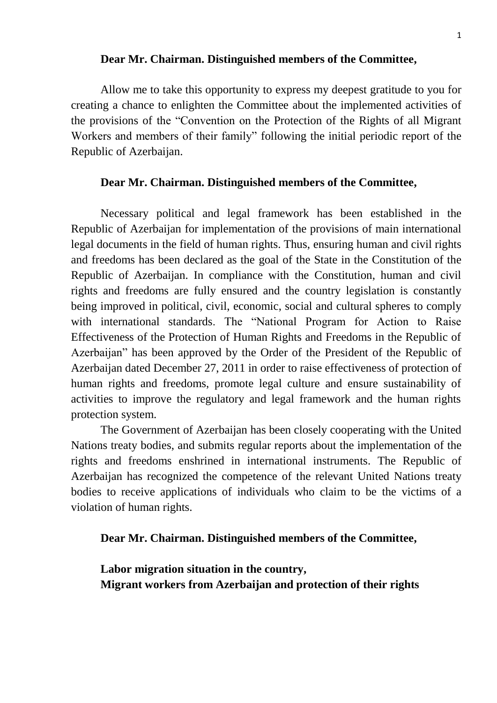#### **Dear Mr. Chairman. Distinguished members of the Committee,**

Allow me to take this opportunity to express my deepest gratitude to you for creating a chance to enlighten the Committee about the implemented activities of the provisions of the "Convention on the Protection of the Rights of all Migrant Workers and members of their family" following the initial periodic report of the Republic of Azerbaijan.

#### **Dear Mr. Chairman. Distinguished members of the Committee,**

Necessary political and legal framework has been established in the Republic of Azerbaijan for implementation of the provisions of main international legal documents in the field of human rights. Thus, ensuring human and civil rights and freedoms has been declared as the goal of the State in the Constitution of the Republic of Azerbaijan. In compliance with the Constitution, human and civil rights and freedoms are fully ensured and the country legislation is constantly being improved in political, civil, economic, social and cultural spheres to comply with international standards. The "National Program for Action to Raise Effectiveness of the Protection of Human Rights and Freedoms in the Republic of Azerbaijan" has been approved by the Order of the President of the Republic of Azerbaijan dated December 27, 2011 in order to raise effectiveness of protection of human rights and freedoms, promote legal culture and ensure sustainability of activities to improve the regulatory and legal framework and the human rights protection system.

The Government of Azerbaijan has been closely cooperating with the United Nations treaty bodies, and submits regular reports about the implementation of the rights and freedoms enshrined in international instruments. The Republic of Azerbaijan has recognized the competence of the relevant United Nations treaty bodies to receive applications of individuals who claim to be the victims of a violation of human rights.

**Dear Mr. Chairman. Distinguished members of the Committee,**

**Labor migration situation in the country, Migrant workers from Azerbaijan and protection of their rights**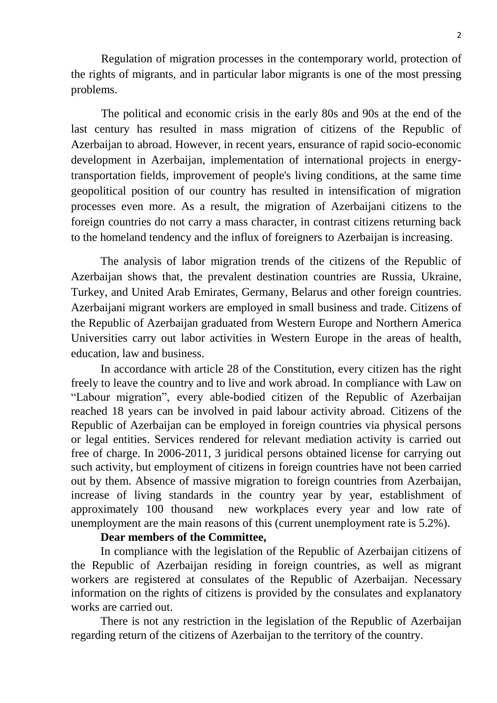Regulation of migration processes in the contemporary world, protection of the rights of migrants, and in particular labor migrants is one of the most pressing problems.

The political and economic crisis in the early 80s and 90s at the end of the last century has resulted in mass migration of citizens of the Republic of Azerbaijan to abroad. However, in recent years, ensurance of rapid socio-economic development in Azerbaijan, implementation of international projects in energytransportation fields, improvement of people's living conditions, at the same time geopolitical position of our country has resulted in intensification of migration processes even more. As a result, the migration of Azerbaijani citizens to the foreign countries do not carry a mass character, in contrast citizens returning back to the homeland tendency and the influx of foreigners to Azerbaijan is increasing.

The analysis of labor migration trends of the citizens of the Republic of Azerbaijan shows that, the prevalent destination countries are Russia, Ukraine, Turkey, and United Arab Emirates, Germany, Belarus and other foreign countries. Azerbaijani migrant workers are employed in small business and trade. Citizens of the Republic of Azerbaijan graduated from Western Europe and Northern America Universities carry out labor activities in Western Europe in the areas of health, education, law and business.

In accordance with article 28 of the Constitution, every citizen has the right freely to leave the country and to live and work abroad. In compliance with Law on "Labour migration", every able-bodied citizen of the Republic of Azerbaijan reached 18 years can be involved in paid labour activity abroad. Citizens of the Republic of Azerbaijan can be employed in foreign countries via physical persons or legal entities. Services rendered for relevant mediation activity is carried out free of charge. In 2006-2011, 3 juridical persons obtained license for carrying out such activity, but employment of citizens in foreign countries have not been carried out by them. Absence of massive migration to foreign countries from Azerbaijan, increase of living standards in the country year by year, establishment of approximately 100 thousand new workplaces every year and low rate of unemployment are the main reasons of this (current unemployment rate is 5.2%).

#### **Dear members of the Committee,**

In compliance with the legislation of the Republic of Azerbaijan citizens of the Republic of Azerbaijan residing in foreign countries, as well as migrant workers are registered at consulates of the Republic of Azerbaijan. Necessary information on the rights of citizens is provided by the consulates and explanatory works are carried out.

There is not any restriction in the legislation of the Republic of Azerbaijan regarding return of the citizens of Azerbaijan to the territory of the country.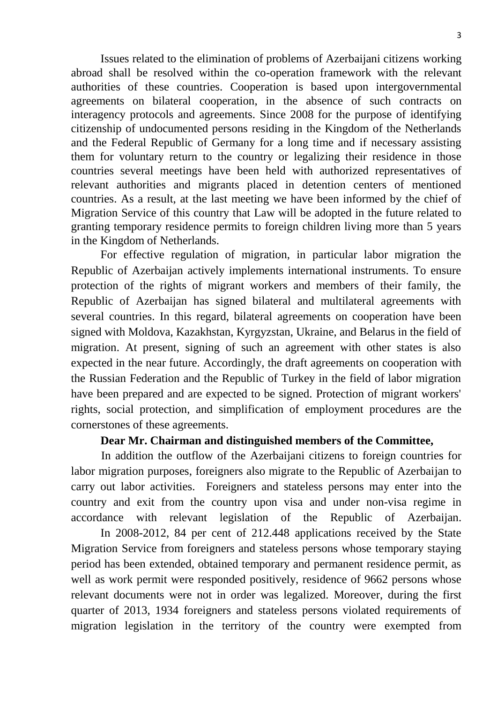Issues related to the elimination of problems of Azerbaijani citizens working abroad shall be resolved within the co-operation framework with the relevant authorities of these countries. Cooperation is based upon intergovernmental agreements on bilateral cooperation, in the absence of such contracts on interagency protocols and agreements. Since 2008 for the purpose of identifying citizenship of undocumented persons residing in the Kingdom of the Netherlands and the Federal Republic of Germany for a long time and if necessary assisting them for voluntary return to the country or legalizing their residence in those countries several meetings have been held with authorized representatives of relevant authorities and migrants placed in detention centers of mentioned countries. As a result, at the last meeting we have been informed by the chief of Migration Service of this country that Law will be adopted in the future related to granting temporary residence permits to foreign children living more than 5 years in the Kingdom of Netherlands.

For effective regulation of migration, in particular labor migration the Republic of Azerbaijan actively implements international instruments. To ensure protection of the rights of migrant workers and members of their family, the Republic of Azerbaijan has signed bilateral and multilateral agreements with several countries. In this regard, bilateral agreements on cooperation have been signed with Moldova, Kazakhstan, Kyrgyzstan, Ukraine, and Belarus in the field of migration. At present, signing of such an agreement with other states is also expected in the near future. Accordingly, the draft agreements on cooperation with the Russian Federation and the Republic of Turkey in the field of labor migration have been prepared and are expected to be signed. Protection of migrant workers' rights, social protection, and simplification of employment procedures are the cornerstones of these agreements.

## **Dear Mr. Chairman and distinguished members of the Committee,**

In addition the outflow of the Azerbaijani citizens to foreign countries for labor migration purposes, foreigners also migrate to the Republic of Azerbaijan to carry out labor activities. Foreigners and stateless persons may enter into the country and exit from the country upon visa and under non-visa regime in accordance with relevant legislation of the Republic of Azerbaijan.

In 2008-2012, 84 per cent of 212.448 applications received by the State Migration Service from foreigners and stateless persons whose temporary staying period has been extended, obtained temporary and permanent residence permit, as well as work permit were responded positively, residence of 9662 persons whose relevant documents were not in order was legalized. Moreover, during the first quarter of 2013, 1934 foreigners and stateless persons violated requirements of migration legislation in the territory of the country were exempted from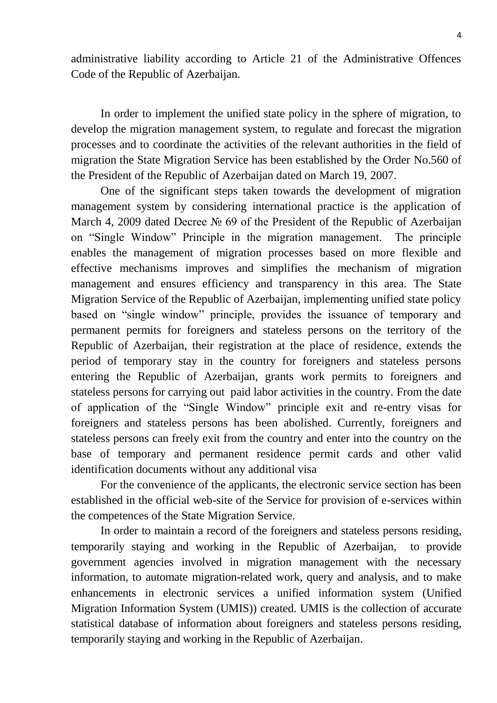administrative liability according to Article 21 of the Administrative Offences Code of the Republic of Azerbaijan.

In order to implement the unified state policy in the sphere of migration, to develop the migration management system, to regulate and forecast the migration processes and to coordinate the activities of the relevant authorities in the field of migration the State Migration Service has been established by the Order No.560 of the President of the Republic of Azerbaijan dated on March 19, 2007.

One of the significant steps taken towards the development of migration management system by considering international practice is the application of March 4, 2009 dated Decree № 69 of the President of the Republic of Azerbaijan on "Single Window" Principle in the migration management. The principle enables the management of migration processes based on more flexible and effective mechanisms improves and simplifies the mechanism of migration management and ensures efficiency and transparency in this area. The State Migration Service of the Republic of Azerbaijan, implementing unified state policy based on "single window" principle, provides the issuance of temporary and permanent permits for foreigners and stateless persons on the territory of the Republic of Azerbaijan, their registration at the place of residence, extends the period of temporary stay in the country for foreigners and stateless persons entering the Republic of Azerbaijan, grants work permits to foreigners and stateless persons for carrying out paid labor activities in the country. From the date of application of the "Single Window" principle exit and re-entry visas for foreigners and stateless persons has been abolished. Currently, foreigners and stateless persons can freely exit from the country and enter into the country on the base of temporary and permanent residence permit cards and other valid identification documents without any additional visa

For the convenience of the applicants, the electronic service section has been established in the official web-site of the Service for provision of e-services within the competences of the State Migration Service.

In order to maintain a record of the foreigners and stateless persons residing, temporarily staying and working in the Republic of Azerbaijan, to provide government agencies involved in migration management with the necessary information, to automate migration-related work, query and analysis, and to make enhancements in electronic services a unified information system (Unified Migration Information System (UMIS)) created. UMIS is the collection of accurate statistical database of information about foreigners and stateless persons residing, temporarily staying and working in the Republic of Azerbaijan.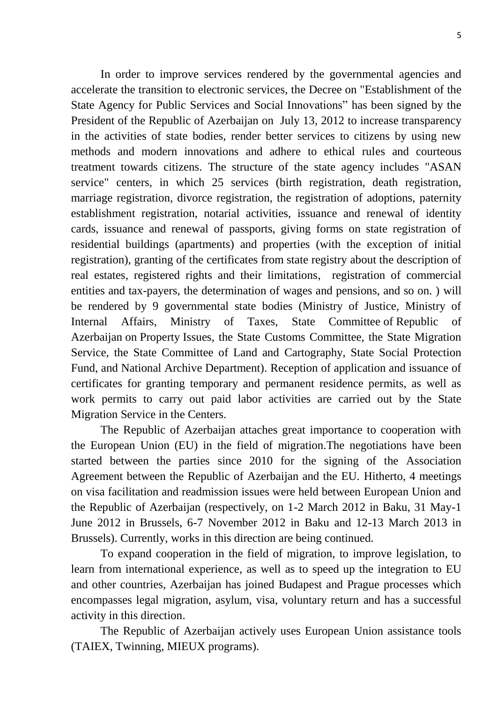In order to improve services rendered by the governmental agencies and accelerate the transition to electronic services, the Decree on "Establishment of the State Agency for Public Services and Social Innovations" has been signed by the President of the Republic of Azerbaijan on July 13, 2012 to increase transparency in the activities of state bodies, render better services to citizens by using new methods and modern innovations and adhere to ethical rules and courteous treatment towards citizens. The structure of the state agency includes "ASAN service" centers, in which 25 services (birth registration, death registration, marriage registration, divorce registration, the registration of adoptions, paternity establishment registration, notarial activities, issuance and renewal of identity cards, issuance and renewal of passports, giving forms on state registration of residential buildings (apartments) and properties (with the exception of initial registration), granting of the certificates from state registry about the description of real estates, registered rights and their limitations, registration of commercial entities and tax-payers, the determination of wages and pensions, and so on. ) will be rendered by 9 governmental state bodies (Ministry of Justice, Ministry of Internal Affairs, Ministry of Taxes, State Committee of Republic of Azerbaijan on Property Issues, the State Customs Committee, the State Migration Service, the State Committee of Land and Cartography, State Social Protection Fund, and National Archive Department). Reception of application and issuance of certificates for granting temporary and permanent residence permits, as well as work permits to carry out paid labor activities are carried out by the State Migration Service in the Centers.

The Republic of Azerbaijan attaches great importance to cooperation with the European Union (EU) in the field of migration.The negotiations have been started between the parties since 2010 for the signing of the Association Agreement between the Republic of Azerbaijan and the EU. Hitherto, 4 meetings on visa facilitation and readmission issues were held between European Union and the Republic of Azerbaijan (respectively, on 1-2 March 2012 in Baku, 31 May-1 June 2012 in Brussels, 6-7 November 2012 in Baku and 12-13 March 2013 in Brussels). Currently, works in this direction are being continued.

To expand cooperation in the field of migration, to improve legislation, to learn from international experience, as well as to speed up the integration to EU and other countries, Azerbaijan has joined Budapest and Prague processes which encompasses legal migration, asylum, visa, voluntary return and has a successful activity in this direction.

The Republic of Azerbaijan actively uses European Union assistance tools (TAIEX, Twinning, MIEUX programs).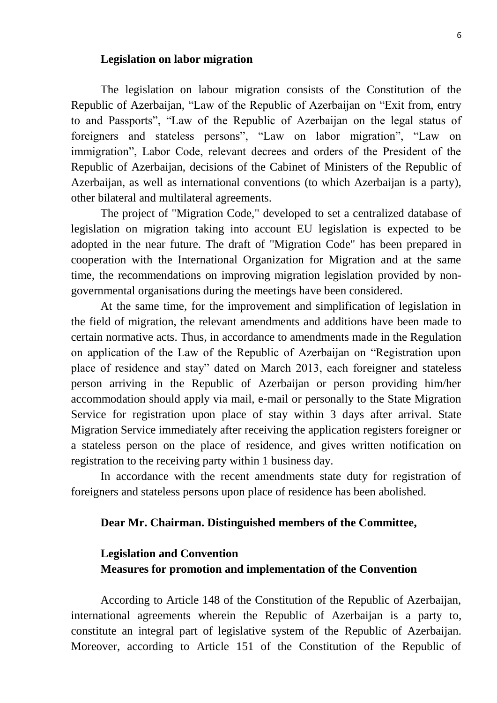#### **Legislation on labor migration**

The legislation on labour migration consists of the Constitution of the Republic of Azerbaijan, "Law of the Republic of Azerbaijan on "Exit from, entry to and Passports", "Law of the Republic of Azerbaijan on the legal status of foreigners and stateless persons", "Law on labor migration", "Law on immigration", Labor Code, relevant decrees and orders of the President of the Republic of Azerbaijan, decisions of the Cabinet of Ministers of the Republic of Azerbaijan, as well as international conventions (to which Azerbaijan is a party), other bilateral and multilateral agreements.

The project of "Migration Code," developed to set a centralized database of legislation on migration taking into account EU legislation is expected to be adopted in the near future. The draft of "Migration Code" has been prepared in cooperation with the International Organization for Migration and at the same time, the recommendations on improving migration legislation provided by nongovernmental organisations during the meetings have been considered.

At the same time, for the improvement and simplification of legislation in the field of migration, the relevant amendments and additions have been made to certain normative acts. Thus, in accordance to amendments made in the Regulation on application of the Law of the Republic of Azerbaijan on "Registration upon place of residence and stay" dated on March 2013, each foreigner and stateless person arriving in the Republic of Azerbaijan or person providing him/her accommodation should apply via mail, e-mail or personally to the State Migration Service for registration upon place of stay within 3 days after arrival. State Migration Service immediately after receiving the application registers foreigner or a stateless person on the place of residence, and gives written notification on registration to the receiving party within 1 business day.

In accordance with the recent amendments state duty for registration of foreigners and stateless persons upon place of residence has been abolished.

#### **Dear Mr. Chairman. Distinguished members of the Committee,**

# **Legislation and Convention Measures for promotion and implementation of the Convention**

According to Article 148 of the Constitution of the Republic of Azerbaijan, international agreements wherein the Republic of Azerbaijan is a party to, constitute an integral part of legislative system of the Republic of Azerbaijan. Moreover, according to Article 151 of the Constitution of the Republic of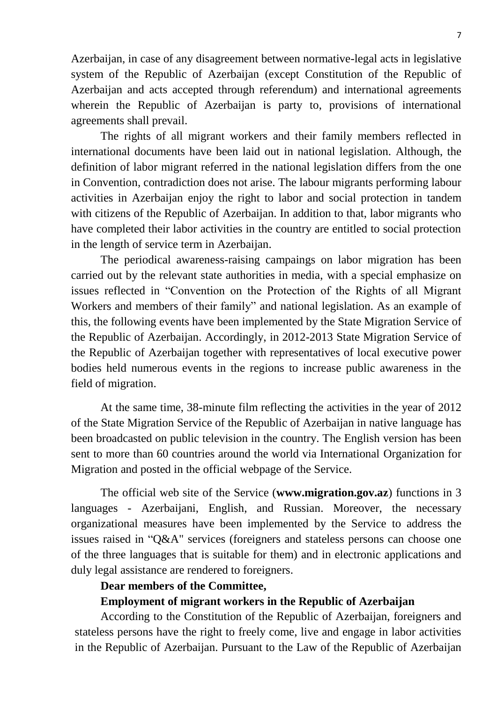Azerbaijan, in case of any disagreement between normative-legal acts in legislative system of the Republic of Azerbaijan (except Constitution of the Republic of Azerbaijan and acts accepted through referendum) and international agreements wherein the Republic of Azerbaijan is party to, provisions of international agreements shall prevail.

The rights of all migrant workers and their family members reflected in international documents have been laid out in national legislation. Although, the definition of labor migrant referred in the national legislation differs from the one in Convention, contradiction does not arise. The labour migrants performing labour activities in Azerbaijan enjoy the right to labor and social protection in tandem with citizens of the Republic of Azerbaijan. In addition to that, labor migrants who have completed their labor activities in the country are entitled to social protection in the length of service term in Azerbaijan.

The periodical awareness-raising campaings on labor migration has been carried out by the relevant state authorities in media, with a special emphasize on issues reflected in "Convention on the Protection of the Rights of all Migrant Workers and members of their family" and national legislation. As an example of this, the following events have been implemented by the State Migration Service of the Republic of Azerbaijan. Accordingly, in 2012-2013 State Migration Service of the Republic of Azerbaijan together with representatives of local executive power bodies held numerous events in the regions to increase public awareness in the field of migration.

At the same time, 38-minute film reflecting the activities in the year of 2012 of the State Migration Service of the Republic of Azerbaijan in native language has been broadcasted on public television in the country. The English version has been sent to more than 60 countries around the world via International Organization for Migration and posted in the official webpage of the Service.

The official web site of the Service (**www.migration.gov.az**) functions in 3 languages - Azerbaijani, English, and Russian. Moreover, the necessary organizational measures have been implemented by the Service to address the issues raised in "Q&A" services (foreigners and stateless persons can choose one of the three languages that is suitable for them) and in electronic applications and duly legal assistance are rendered to foreigners.

## **Dear members of the Committee,**

#### **Employment of migrant workers in the Republic of Azerbaijan**

According to the Constitution of the Republic of Azerbaijan, foreigners and stateless persons have the right to freely come, live and engage in labor activities in the Republic of Azerbaijan. Pursuant to the Law of the Republic of Azerbaijan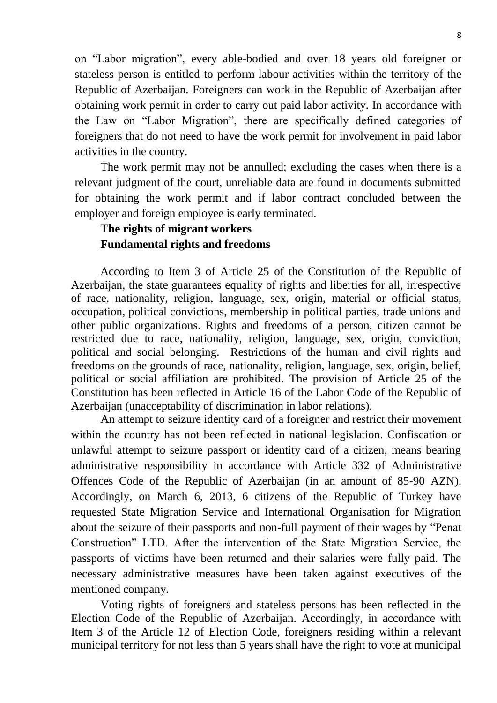on "Labor migration", every able-bodied and over 18 years old foreigner or stateless person is entitled to perform labour activities within the territory of the Republic of Azerbaijan. Foreigners can work in the Republic of Azerbaijan after obtaining work permit in order to carry out paid labor activity. In accordance with the Law on "Labor Migration", there are specifically defined categories of foreigners that do not need to have the work permit for involvement in paid labor activities in the country.

The work permit may not be annulled; excluding the cases when there is a relevant judgment of the court, unreliable data are found in documents submitted for obtaining the work permit and if labor contract concluded between the employer and foreign employee is early terminated.

# **The rights of migrant workers Fundamental rights and freedoms**

According to Item 3 of Article 25 of the Constitution of the Republic of Azerbaijan, the state guarantees equality of rights and liberties for all, irrespective of race, nationality, religion, language, sex, origin, material or official status, occupation, political convictions, membership in political parties, trade unions and other public organizations. Rights and freedoms of a person, citizen cannot be restricted due to race, nationality, religion, language, sex, origin, conviction, political and social belonging. Restrictions of the human and civil rights and freedoms on the grounds of race, nationality, religion, language, sex, origin, belief, political or social affiliation are prohibited. The provision of Article 25 of the Constitution has been reflected in Article 16 of the Labor Code of the Republic of Azerbaijan (unacceptability of discrimination in labor relations).

An attempt to seizure identity card of a foreigner and restrict their movement within the country has not been reflected in national legislation. Confiscation or unlawful attempt to seizure passport or identity card of a citizen, means bearing administrative responsibility in accordance with Article 332 of Administrative Offences Code of the Republic of Azerbaijan (in an amount of 85-90 AZN). Accordingly, on March 6, 2013, 6 citizens of the Republic of Turkey have requested State Migration Service and International Organisation for Migration about the seizure of their passports and non-full payment of their wages by "Penat Construction" LTD. After the intervention of the State Migration Service, the passports of victims have been returned and their salaries were fully paid. The necessary administrative measures have been taken against executives of the mentioned company.

Voting rights of foreigners and stateless persons has been reflected in the Election Code of the Republic of Azerbaijan. Accordingly, in accordance with Item 3 of the Article 12 of Election Code, foreigners residing within a relevant municipal territory for not less than 5 years shall have the right to vote at municipal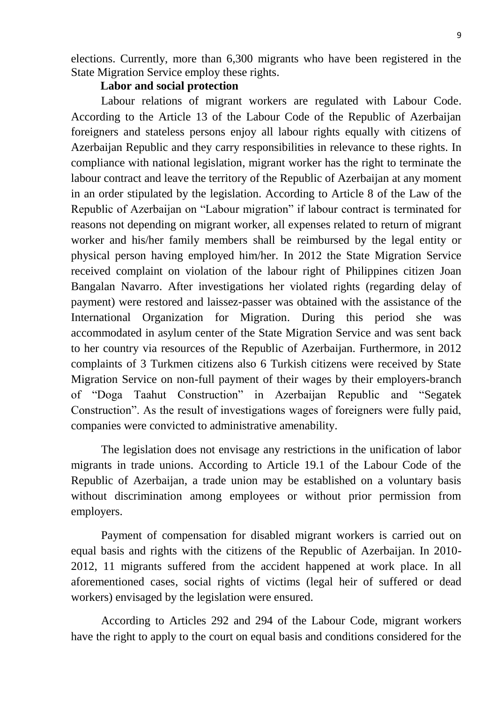elections. Currently, more than 6,300 migrants who have been registered in the State Migration Service employ these rights.

## **Labor and social protection**

Labour relations of migrant workers are regulated with Labour Code. According to the Article 13 of the Labour Code of the Republic of Azerbaijan foreigners and stateless persons enjoy all labour rights equally with citizens of Azerbaijan Republic and they carry responsibilities in relevance to these rights. In compliance with national legislation, migrant worker has the right to terminate the labour contract and leave the territory of the Republic of Azerbaijan at any moment in an order stipulated by the legislation. According to Article 8 of the Law of the Republic of Azerbaijan on "Labour migration" if labour contract is terminated for reasons not depending on migrant worker, all expenses related to return of migrant worker and his/her family members shall be reimbursed by the legal entity or physical person having employed him/her. In 2012 the State Migration Service received complaint on violation of the labour right of Philippines citizen Joan Bangalan Navarro. After investigations her violated rights (regarding delay of payment) were restored and laissez-passer was obtained with the assistance of the International Organization for Migration. During this period she was accommodated in asylum center of the State Migration Service and was sent back to her country via resources of the Republic of Azerbaijan. Furthermore, in 2012 complaints of 3 Turkmen citizens also 6 Turkish citizens were received by State Migration Service on non-full payment of their wages by their employers-branch of "Doga Taahut Construction" in Azerbaijan Republic and "Segatek Construction". As the result of investigations wages of foreigners were fully paid, companies were convicted to administrative amenability.

The legislation does not envisage any restrictions in the unification of labor migrants in trade unions. According to Article 19.1 of the Labour Code of the Republic of Azerbaijan, a trade union may be established on a voluntary basis without discrimination among employees or without prior permission from employers.

Payment of compensation for disabled migrant workers is carried out on equal basis and rights with the citizens of the Republic of Azerbaijan. In 2010- 2012, 11 migrants suffered from the accident happened at work place. In all aforementioned cases, social rights of victims (legal heir of suffered or dead workers) envisaged by the legislation were ensured.

According to Articles 292 and 294 of the Labour Code, migrant workers have the right to apply to the court on equal basis and conditions considered for the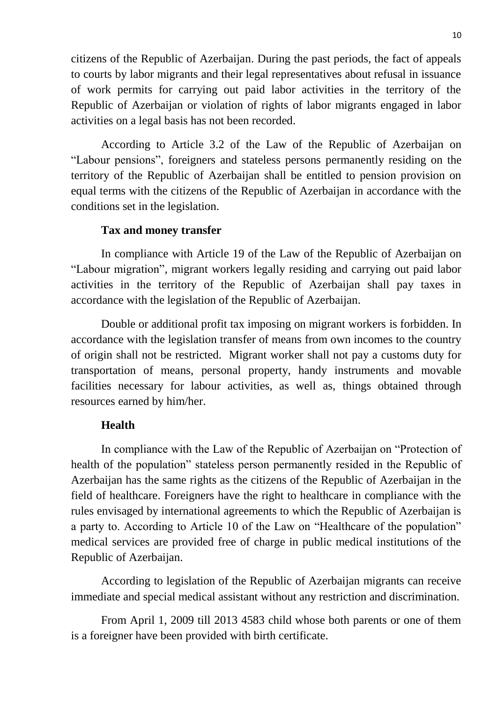citizens of the Republic of Azerbaijan. During the past periods, the fact of appeals to courts by labor migrants and their legal representatives about refusal in issuance of work permits for carrying out paid labor activities in the territory of the Republic of Azerbaijan or violation of rights of labor migrants engaged in labor activities on a legal basis has not been recorded.

According to Article 3.2 of the Law of the Republic of Azerbaijan on "Labour pensions", foreigners and stateless persons permanently residing on the territory of the Republic of Azerbaijan shall be entitled to pension provision on equal terms with the citizens of the Republic of Azerbaijan in accordance with the conditions set in the legislation.

## **Tax and money transfer**

In compliance with Article 19 of the Law of the Republic of Azerbaijan on "Labour migration", migrant workers legally residing and carrying out paid labor activities in the territory of the Republic of Azerbaijan shall pay taxes in accordance with the legislation of the Republic of Azerbaijan.

Double or additional profit tax imposing on migrant workers is forbidden. In accordance with the legislation transfer of means from own incomes to the country of origin shall not be restricted. Migrant worker shall not pay a customs duty for transportation of means, personal property, handy instruments and movable facilities necessary for labour activities, as well as, things obtained through resources earned by him/her.

## **Health**

In compliance with the Law of the Republic of Azerbaijan on "Protection of health of the population" stateless person permanently resided in the Republic of Azerbaijan has the same rights as the citizens of the Republic of Azerbaijan in the field of healthcare. Foreigners have the right to healthcare in compliance with the rules envisaged by international agreements to which the Republic of Azerbaijan is a party to. According to Article 10 of the Law on "Healthcare of the population" medical services are provided free of charge in public medical institutions of the Republic of Azerbaijan.

According to legislation of the Republic of Azerbaijan migrants can receive immediate and special medical assistant without any restriction and discrimination.

From April 1, 2009 till 2013 4583 child whose both parents or one of them is a foreigner have been provided with birth certificate.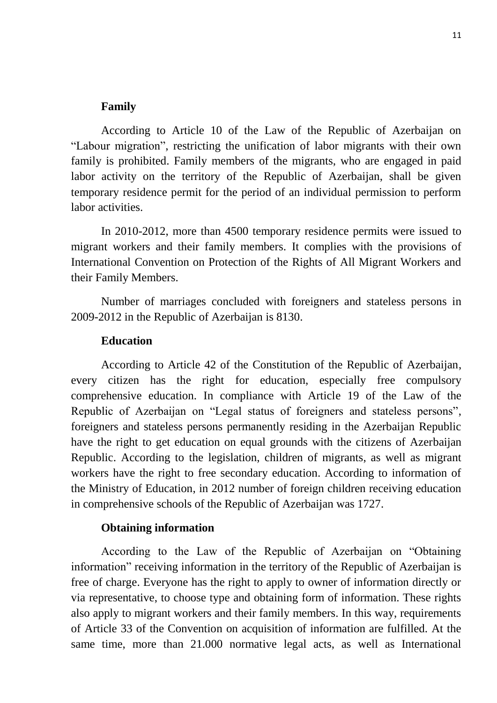#### **Family**

According to Article 10 of the Law of the Republic of Azerbaijan on "Labour migration", restricting the unification of labor migrants with their own family is prohibited. Family members of the migrants, who are engaged in paid labor activity on the territory of the Republic of Azerbaijan, shall be given temporary residence permit for the period of an individual permission to perform labor activities.

In 2010-2012, more than 4500 temporary residence permits were issued to migrant workers and their family members. It complies with the provisions of International Convention on Protection of the Rights of All Migrant Workers and their Family Members.

Number of marriages concluded with foreigners and stateless persons in 2009-2012 in the Republic of Azerbaijan is 8130.

#### **Education**

According to Article 42 of the Constitution of the Republic of Azerbaijan, every citizen has the right for education, especially free compulsory comprehensive education. In compliance with Article 19 of the Law of the Republic of Azerbaijan on "Legal status of foreigners and stateless persons", foreigners and stateless persons permanently residing in the Azerbaijan Republic have the right to get education on equal grounds with the citizens of Azerbaijan Republic. According to the legislation, children of migrants, as well as migrant workers have the right to free secondary education. According to information of the Ministry of Education, in 2012 number of foreign children receiving education in comprehensive schools of the Republic of Azerbaijan was 1727.

#### **Obtaining information**

According to the Law of the Republic of Azerbaijan on "Obtaining information" receiving information in the territory of the Republic of Azerbaijan is free of charge. Everyone has the right to apply to owner of information directly or via representative, to choose type and obtaining form of information. These rights also apply to migrant workers and their family members. In this way, requirements of Article 33 of the Convention on acquisition of information are fulfilled. At the same time, more than 21.000 normative legal acts, as well as International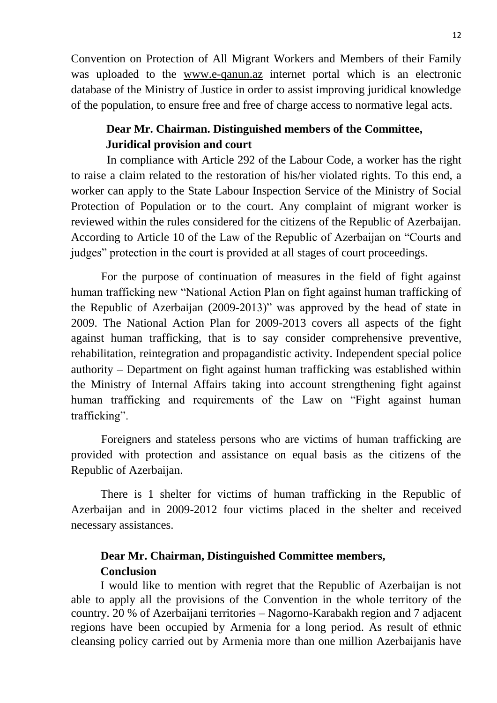Convention on Protection of All Migrant Workers and Members of their Family was uploaded to the [www.e-qanun.az](http://www.e-qanun.az/) internet portal which is an electronic database of the Ministry of Justice in order to assist improving juridical knowledge of the population, to ensure free and free of charge access to normative legal acts.

# **Dear Mr. Chairman. Distinguished members of the Committee, Juridical provision and court**

 In compliance with Article 292 of the Labour Code, a worker has the right to raise a claim related to the restoration of his/her violated rights. To this end, a worker can apply to the State Labour Inspection Service of the Ministry of Social Protection of Population or to the court. Any complaint of migrant worker is reviewed within the rules considered for the citizens of the Republic of Azerbaijan. According to Article 10 of the Law of the Republic of Azerbaijan on "Courts and judges" protection in the court is provided at all stages of court proceedings.

For the purpose of continuation of measures in the field of fight against human trafficking new "National Action Plan on fight against human trafficking of the Republic of Azerbaijan (2009-2013)" was approved by the head of state in 2009. The National Action Plan for 2009-2013 covers all aspects of the fight against human trafficking, that is to say consider comprehensive preventive, rehabilitation, reintegration and propagandistic activity. Independent special police authority – Department on fight against human trafficking was established within the Ministry of Internal Affairs taking into account strengthening fight against human trafficking and requirements of the Law on "Fight against human trafficking".

Foreigners and stateless persons who are victims of human trafficking are provided with protection and assistance on equal basis as the citizens of the Republic of Azerbaijan.

There is 1 shelter for victims of human trafficking in the Republic of Azerbaijan and in 2009-2012 four victims placed in the shelter and received necessary assistances.

# **Dear Mr. Chairman, Distinguished Committee members, Conclusion**

I would like to mention with regret that the Republic of Azerbaijan is not able to apply all the provisions of the Convention in the whole territory of the country. 20 % of Azerbaijani territories – Nagorno-Karabakh region and 7 adjacent regions have been occupied by Armenia for a long period. As result of ethnic cleansing policy carried out by Armenia more than one million Azerbaijanis have